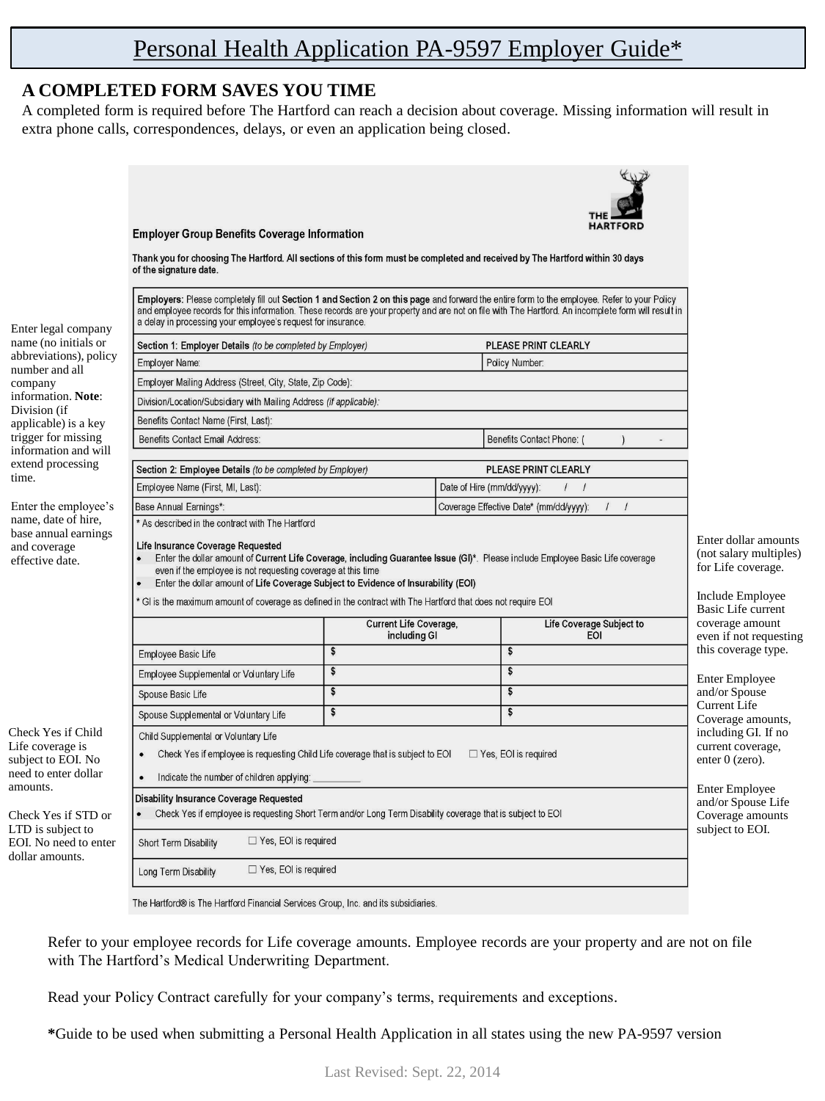## Personal Health Application PA-9597 Employer Guide\*

### **A COMPLETED FORM SAVES YOU TIME**

time.

amounts.

A completed form is required before The Hartford can reach a decision about coverage. Missing information will result in extra phone calls, correspondences, delays, or even an application being closed.



The Hartford® is The Hartford Financial Services Group, Inc. and its subsidiaries.

Refer to your employee records for Life coverage amounts. Employee records are your property and are not on file with The Hartford's Medical Underwriting Department.

Read your Policy Contract carefully for your company's terms, requirements and exceptions.

**\***Guide to be used when submitting a Personal Health Application in all states using the new PA-9597 version